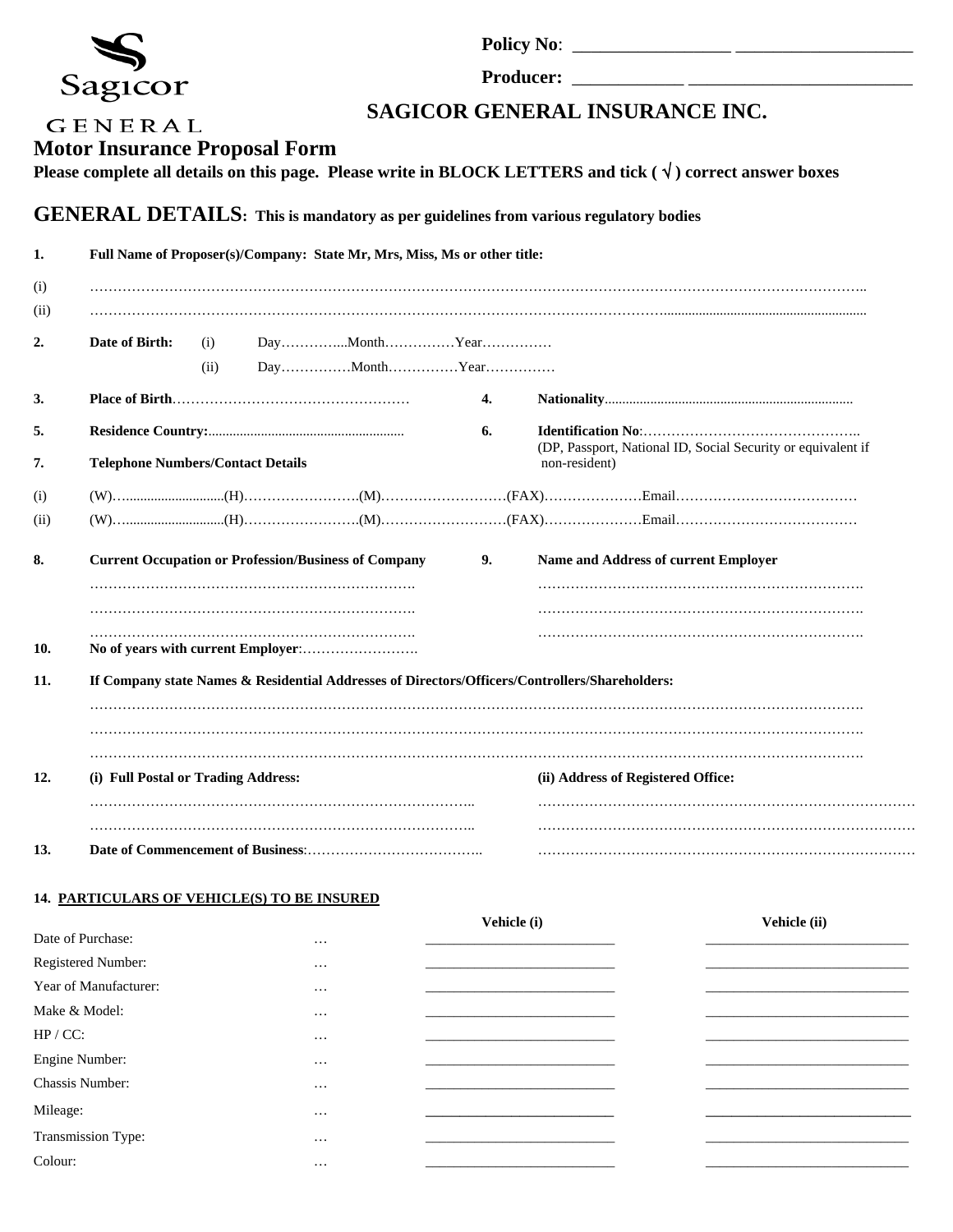|                                                                                                                                               | Sagicor                                  |             |  |                                                                                                                                   |                                                                                                                                                       |                                                                                                |  |  |  |  |
|-----------------------------------------------------------------------------------------------------------------------------------------------|------------------------------------------|-------------|--|-----------------------------------------------------------------------------------------------------------------------------------|-------------------------------------------------------------------------------------------------------------------------------------------------------|------------------------------------------------------------------------------------------------|--|--|--|--|
| GENERAL<br><b>Motor Insurance Proposal Form</b><br><b>GENERAL DETAILS:</b> This is mandatory as per guidelines from various regulatory bodies |                                          |             |  |                                                                                                                                   | SAGICOR GENERAL INSURANCE INC.<br>Please complete all details on this page. Please write in BLOCK LETTERS and tick $(\sqrt{ } )$ correct answer boxes |                                                                                                |  |  |  |  |
| 1.                                                                                                                                            |                                          |             |  | Full Name of Proposer(s)/Company: State Mr, Mrs, Miss, Ms or other title:                                                         |                                                                                                                                                       |                                                                                                |  |  |  |  |
| (i)<br>(11)                                                                                                                                   |                                          |             |  |                                                                                                                                   |                                                                                                                                                       |                                                                                                |  |  |  |  |
| 2.                                                                                                                                            | Date of Birth:                           | (i)<br>(ii) |  | $Day \ldots \ldots \ldots \ldots M$ onth $\ldots \ldots \ldots \ldots \ldots Y$ ear $\ldots \ldots \ldots \ldots$<br>DayMonthYear |                                                                                                                                                       |                                                                                                |  |  |  |  |
| 3.                                                                                                                                            |                                          |             |  |                                                                                                                                   | 4.                                                                                                                                                    |                                                                                                |  |  |  |  |
| 5.<br>7.                                                                                                                                      | <b>Telephone Numbers/Contact Details</b> |             |  |                                                                                                                                   | 6.                                                                                                                                                    | (DP, Passport, National ID, Social Security or equivalent if<br>non-resident)                  |  |  |  |  |
|                                                                                                                                               |                                          |             |  |                                                                                                                                   |                                                                                                                                                       |                                                                                                |  |  |  |  |
| (i)<br>(11)                                                                                                                                   |                                          |             |  |                                                                                                                                   |                                                                                                                                                       |                                                                                                |  |  |  |  |
| 8.                                                                                                                                            |                                          |             |  | <b>Current Occupation or Profession/Business of Company</b>                                                                       | 9.                                                                                                                                                    | Name and Address of current Employer                                                           |  |  |  |  |
|                                                                                                                                               |                                          |             |  |                                                                                                                                   |                                                                                                                                                       |                                                                                                |  |  |  |  |
| 10.                                                                                                                                           |                                          |             |  |                                                                                                                                   |                                                                                                                                                       |                                                                                                |  |  |  |  |
| 11.                                                                                                                                           |                                          |             |  |                                                                                                                                   |                                                                                                                                                       | If Company state Names & Residential Addresses of Directors/Officers/Controllers/Shareholders: |  |  |  |  |
| 12.                                                                                                                                           | (i) Full Postal or Trading Address:      |             |  |                                                                                                                                   |                                                                                                                                                       | (ii) Address of Registered Office:                                                             |  |  |  |  |
| 13.                                                                                                                                           |                                          |             |  |                                                                                                                                   |                                                                                                                                                       |                                                                                                |  |  |  |  |

## **14. PARTICULARS OF VEHICLE(S) TO BE INSURED**

|                        |          | Vehicle (i) | Vehicle (ii) |
|------------------------|----------|-------------|--------------|
| Date of Purchase:      | $\cdots$ |             |              |
| Registered Number:     | $\cdots$ |             |              |
| Year of Manufacturer:  | $\cdots$ |             |              |
| Make & Model:          | $\cdots$ |             |              |
| HP / CC:               | $\cdots$ |             |              |
| Engine Number:         | $\cdots$ |             |              |
| <b>Chassis Number:</b> | $\cdots$ |             |              |
| Mileage:               | $\cdots$ |             |              |
| Transmission Type:     | $\cdots$ |             |              |
| Colour:                | $\cdots$ |             |              |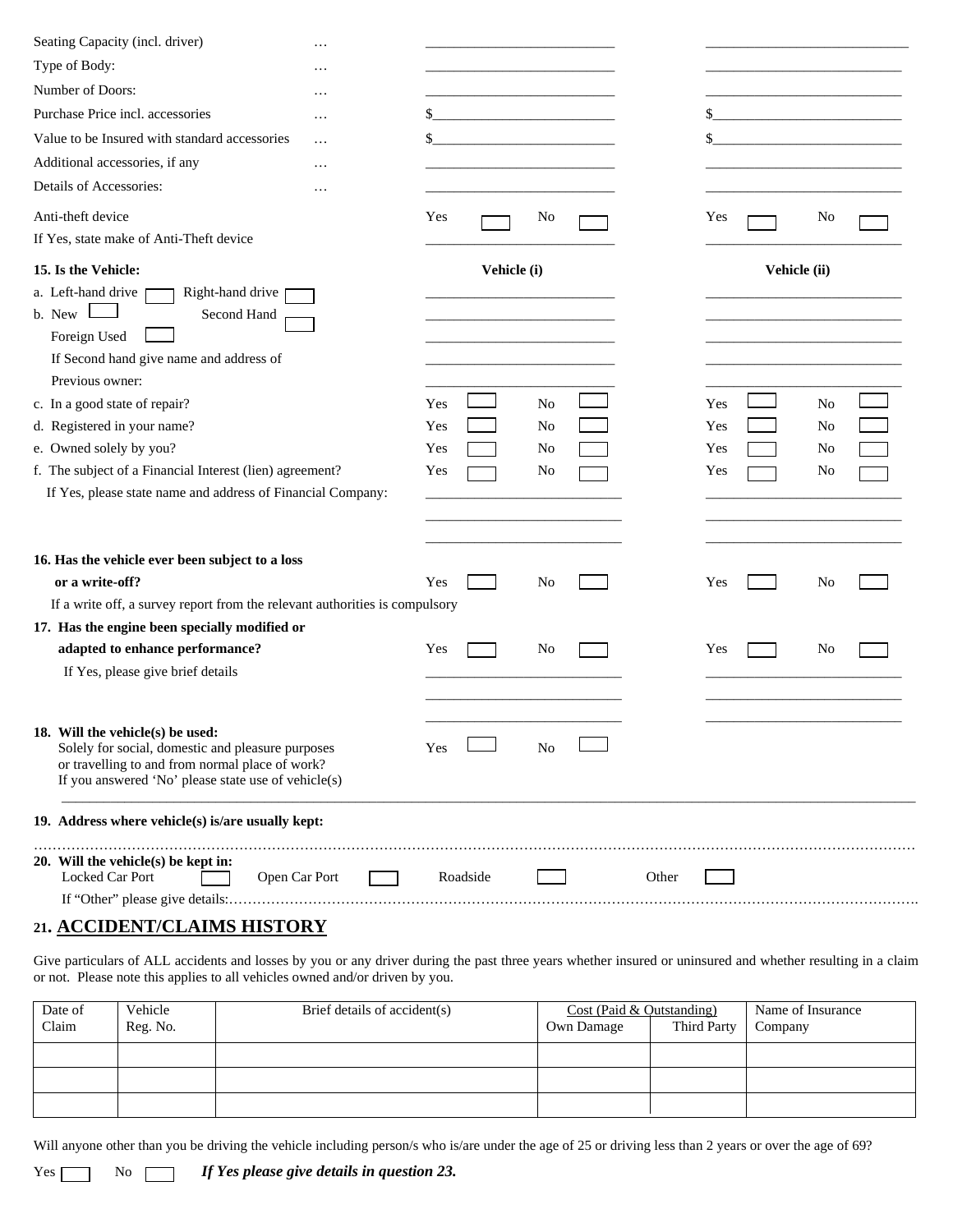| Seating Capacity (incl. driver)<br>.                                                                                                                                                            |                   |              |
|-------------------------------------------------------------------------------------------------------------------------------------------------------------------------------------------------|-------------------|--------------|
| Type of Body:<br>.                                                                                                                                                                              |                   |              |
| Number of Doors:<br>.                                                                                                                                                                           |                   |              |
| Purchase Price incl. accessories<br>.                                                                                                                                                           |                   |              |
| Value to be Insured with standard accessories<br>.                                                                                                                                              |                   |              |
| Additional accessories, if any<br>.                                                                                                                                                             |                   |              |
| Details of Accessories:<br>.                                                                                                                                                                    |                   |              |
| Anti-theft device                                                                                                                                                                               | Yes<br>No         | Yes<br>No    |
| If Yes, state make of Anti-Theft device                                                                                                                                                         |                   |              |
| 15. Is the Vehicle:                                                                                                                                                                             | Vehicle (i)       | Vehicle (ii) |
| a. Left-hand drive<br>Right-hand drive<br>b. New<br>Second Hand<br>Foreign Used<br>If Second hand give name and address of                                                                      |                   |              |
| Previous owner:                                                                                                                                                                                 |                   |              |
| c. In a good state of repair?                                                                                                                                                                   | Yes<br>No         | Yes<br>No    |
| d. Registered in your name?                                                                                                                                                                     | Yes<br>No         | Yes<br>No    |
| e. Owned solely by you?                                                                                                                                                                         | Yes<br>No         | Yes<br>No    |
| f. The subject of a Financial Interest (lien) agreement?<br>If Yes, please state name and address of Financial Company:                                                                         | Yes<br>No         | Yes<br>No    |
| 16. Has the vehicle ever been subject to a loss                                                                                                                                                 |                   |              |
| or a write-off?                                                                                                                                                                                 | Yes<br>No         | Yes<br>No    |
| If a write off, a survey report from the relevant authorities is compulsory                                                                                                                     |                   |              |
| 17. Has the engine been specially modified or                                                                                                                                                   |                   |              |
| adapted to enhance performance?                                                                                                                                                                 | Yes<br>No         | Yes<br>No    |
| If Yes, please give brief details                                                                                                                                                               |                   |              |
| 18. Will the vehicle(s) be used:<br>Solely for social, domestic and pleasure purposes<br>or travelling to and from normal place of work?<br>If you answered 'No' please state use of vehicle(s) | No<br>Yes         |              |
| 19. Address where vehicle(s) is/are usually kept:                                                                                                                                               |                   |              |
| 20. Will the vehicle(s) be kept in:<br>Locked Car Port<br>Open Car Port                                                                                                                         | Roadside<br>Other |              |
|                                                                                                                                                                                                 |                   |              |

# **21. ACCIDENT/CLAIMS HISTORY**

Give particulars of ALL accidents and losses by you or any driver during the past three years whether insured or uninsured and whether resulting in a claim or not. Please note this applies to all vehicles owned and/or driven by you.

| Date of<br>Claim | Vehicle<br>Reg. No. | Brief details of accident(s) | Cost (Paid & Outstanding)<br>Third Party<br>Own Damage |  | Name of Insurance<br>Company |
|------------------|---------------------|------------------------------|--------------------------------------------------------|--|------------------------------|
|                  |                     |                              |                                                        |  |                              |
|                  |                     |                              |                                                        |  |                              |
|                  |                     |                              |                                                        |  |                              |

Will anyone other than you be driving the vehicle including person/s who is/are under the age of 25 or driving less than 2 years or over the age of 69?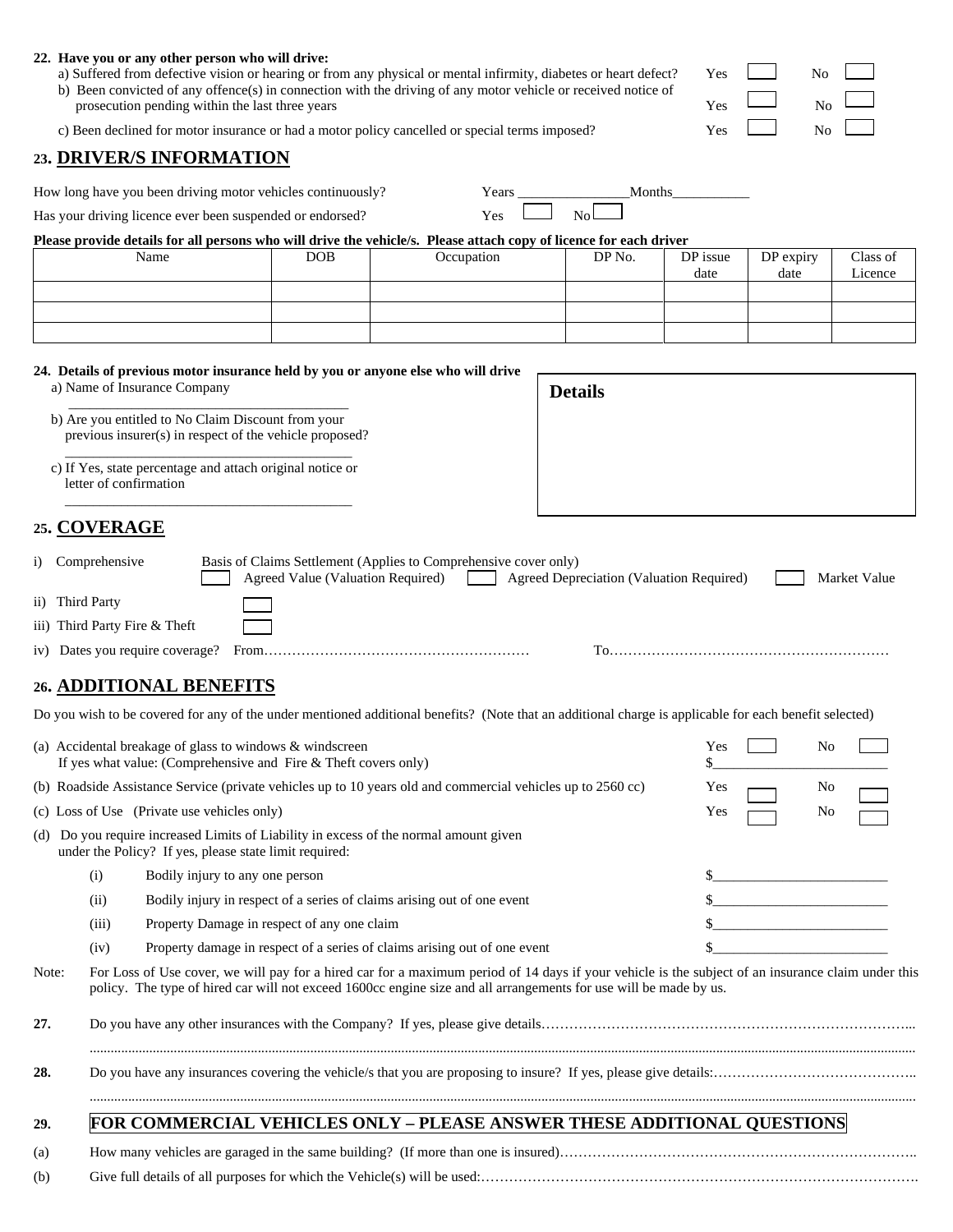|       | 22. Have you or any other person who will drive:<br>prosecution pending within the last three years                              |                                 |                                             | a) Suffered from defective vision or hearing or from any physical or mental infirmity, diabetes or heart defect?<br>b) Been convicted of any offence(s) in connection with the driving of any motor vehicle or received notice of                                       |       |                                          | Yes<br>Yes | No<br>N <sub>o</sub>                                                                                                                                                                                                                       |              |
|-------|----------------------------------------------------------------------------------------------------------------------------------|---------------------------------|---------------------------------------------|-------------------------------------------------------------------------------------------------------------------------------------------------------------------------------------------------------------------------------------------------------------------------|-------|------------------------------------------|------------|--------------------------------------------------------------------------------------------------------------------------------------------------------------------------------------------------------------------------------------------|--------------|
|       |                                                                                                                                  |                                 |                                             | c) Been declined for motor insurance or had a motor policy cancelled or special terms imposed?                                                                                                                                                                          |       |                                          | Yes        | No                                                                                                                                                                                                                                         |              |
|       | 23. DRIVER/S INFORMATION                                                                                                         |                                 |                                             |                                                                                                                                                                                                                                                                         |       |                                          |            |                                                                                                                                                                                                                                            |              |
|       |                                                                                                                                  |                                 |                                             |                                                                                                                                                                                                                                                                         |       |                                          |            |                                                                                                                                                                                                                                            |              |
|       | How long have you been driving motor vehicles continuously?                                                                      |                                 |                                             |                                                                                                                                                                                                                                                                         | Years | Months                                   |            |                                                                                                                                                                                                                                            |              |
|       | Has your driving licence ever been suspended or endorsed?                                                                        |                                 |                                             | Yes                                                                                                                                                                                                                                                                     |       | N <sub>o</sub>                           |            |                                                                                                                                                                                                                                            |              |
|       | Name                                                                                                                             |                                 | <b>DOB</b>                                  | Please provide details for all persons who will drive the vehicle/s. Please attach copy of licence for each driver<br>Occupation                                                                                                                                        |       | DP No.                                   | DP issue   | DP expiry                                                                                                                                                                                                                                  | Class of     |
|       |                                                                                                                                  |                                 |                                             |                                                                                                                                                                                                                                                                         |       |                                          | date       | date                                                                                                                                                                                                                                       | Licence      |
|       |                                                                                                                                  |                                 |                                             |                                                                                                                                                                                                                                                                         |       |                                          |            |                                                                                                                                                                                                                                            |              |
|       |                                                                                                                                  |                                 |                                             |                                                                                                                                                                                                                                                                         |       |                                          |            |                                                                                                                                                                                                                                            |              |
|       |                                                                                                                                  |                                 |                                             |                                                                                                                                                                                                                                                                         |       |                                          |            |                                                                                                                                                                                                                                            |              |
|       | a) Name of Insurance Company                                                                                                     |                                 |                                             | 24. Details of previous motor insurance held by you or anyone else who will drive                                                                                                                                                                                       |       | <b>Details</b>                           |            |                                                                                                                                                                                                                                            |              |
|       | b) Are you entitled to No Claim Discount from your<br>previous insurer(s) in respect of the vehicle proposed?                    |                                 |                                             |                                                                                                                                                                                                                                                                         |       |                                          |            |                                                                                                                                                                                                                                            |              |
|       | c) If Yes, state percentage and attach original notice or<br>letter of confirmation                                              |                                 |                                             |                                                                                                                                                                                                                                                                         |       |                                          |            |                                                                                                                                                                                                                                            |              |
|       | 25. COVERAGE                                                                                                                     |                                 |                                             |                                                                                                                                                                                                                                                                         |       |                                          |            |                                                                                                                                                                                                                                            |              |
|       | i) Comprehensive                                                                                                                 |                                 |                                             | Basis of Claims Settlement (Applies to Comprehensive cover only)<br>Agreed Value (Valuation Required)                                                                                                                                                                   |       | Agreed Depreciation (Valuation Required) |            |                                                                                                                                                                                                                                            | Market Value |
|       | ii) Third Party                                                                                                                  |                                 |                                             |                                                                                                                                                                                                                                                                         |       |                                          |            |                                                                                                                                                                                                                                            |              |
|       | iii) Third Party Fire & Theft                                                                                                    |                                 |                                             |                                                                                                                                                                                                                                                                         |       |                                          |            |                                                                                                                                                                                                                                            |              |
|       |                                                                                                                                  |                                 |                                             |                                                                                                                                                                                                                                                                         |       |                                          |            |                                                                                                                                                                                                                                            |              |
|       | 26. ADDITIONAL BENEFITS                                                                                                          |                                 |                                             |                                                                                                                                                                                                                                                                         |       |                                          |            |                                                                                                                                                                                                                                            |              |
|       |                                                                                                                                  |                                 |                                             | Do you wish to be covered for any of the under mentioned additional benefits? (Note that an additional charge is applicable for each benefit selected)                                                                                                                  |       |                                          |            |                                                                                                                                                                                                                                            |              |
|       | (a) Accidental breakage of glass to windows $\&$ windscreen<br>If yes what value: (Comprehensive and Fire $&$ Theft covers only) |                                 |                                             |                                                                                                                                                                                                                                                                         |       |                                          | \$.        | $Yes \quad \Box$                                                                                                                                                                                                                           | No r         |
|       |                                                                                                                                  |                                 |                                             | (b) Roadside Assistance Service (private vehicles up to 10 years old and commercial vehicles up to 2560 cc)                                                                                                                                                             |       |                                          | Yes        | No                                                                                                                                                                                                                                         |              |
|       | (c) Loss of Use (Private use vehicles only)                                                                                      |                                 |                                             |                                                                                                                                                                                                                                                                         |       |                                          | Yes        | No                                                                                                                                                                                                                                         |              |
|       | under the Policy? If yes, please state limit required:                                                                           |                                 |                                             | (d) Do you require increased Limits of Liability in excess of the normal amount given                                                                                                                                                                                   |       |                                          |            |                                                                                                                                                                                                                                            |              |
|       | (i)                                                                                                                              | Bodily injury to any one person |                                             |                                                                                                                                                                                                                                                                         |       |                                          |            |                                                                                                                                                                                                                                            |              |
|       | (ii)                                                                                                                             |                                 |                                             | Bodily injury in respect of a series of claims arising out of one event                                                                                                                                                                                                 |       |                                          |            | $\frac{\text{S}}{\text{S}}$ . The contract of the contract of the contract of the contract of the contract of the contract of the contract of the contract of the contract of the contract of the contract of the contract of the contract |              |
|       | (iii)                                                                                                                            |                                 | Property Damage in respect of any one claim |                                                                                                                                                                                                                                                                         |       |                                          |            |                                                                                                                                                                                                                                            |              |
|       | (iv)                                                                                                                             |                                 |                                             | Property damage in respect of a series of claims arising out of one event                                                                                                                                                                                               |       |                                          |            |                                                                                                                                                                                                                                            |              |
| Note: |                                                                                                                                  |                                 |                                             | For Loss of Use cover, we will pay for a hired car for a maximum period of 14 days if your vehicle is the subject of an insurance claim under this<br>policy. The type of hired car will not exceed 1600cc engine size and all arrangements for use will be made by us. |       |                                          |            |                                                                                                                                                                                                                                            |              |
| 27.   |                                                                                                                                  |                                 |                                             |                                                                                                                                                                                                                                                                         |       |                                          |            |                                                                                                                                                                                                                                            |              |
| 28.   |                                                                                                                                  |                                 |                                             |                                                                                                                                                                                                                                                                         |       |                                          |            |                                                                                                                                                                                                                                            |              |
|       |                                                                                                                                  |                                 |                                             |                                                                                                                                                                                                                                                                         |       |                                          |            |                                                                                                                                                                                                                                            |              |
| 29.   |                                                                                                                                  |                                 |                                             | <b>FOR COMMERCIAL VEHICLES ONLY - PLEASE ANSWER THESE ADDITIONAL QUESTIONS</b>                                                                                                                                                                                          |       |                                          |            |                                                                                                                                                                                                                                            |              |
| (a)   |                                                                                                                                  |                                 |                                             |                                                                                                                                                                                                                                                                         |       |                                          |            |                                                                                                                                                                                                                                            |              |

| . | -------------- |  |  |  |  |
|---|----------------|--|--|--|--|
|   |                |  |  |  |  |
|   |                |  |  |  |  |

(b) Give full details of all purposes for which the Vehicle(s) will be used:………………………………………………………………………………….